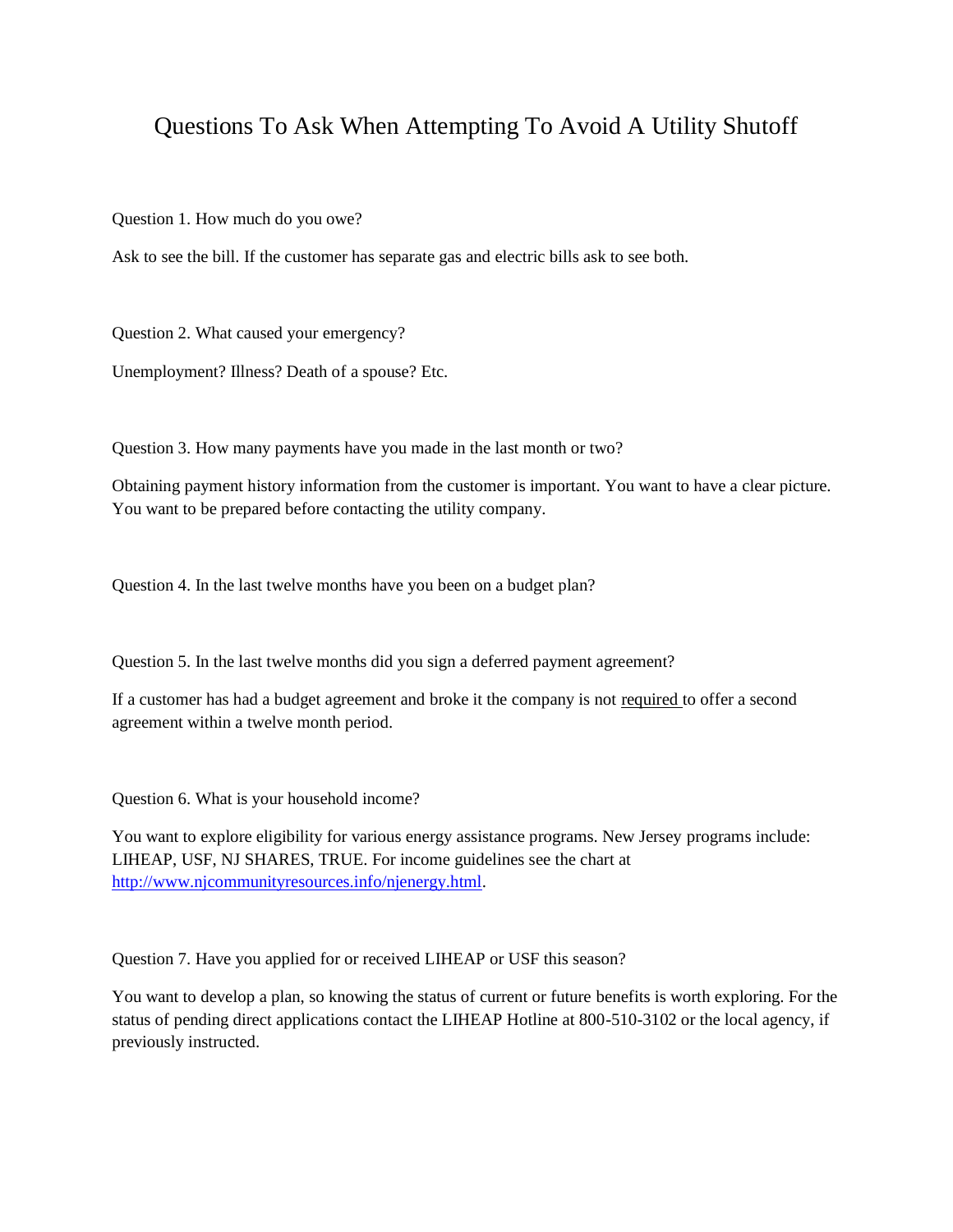## Questions To Ask When Attempting To Avoid A Utility Shutoff

Question 1. How much do you owe?

Ask to see the bill. If the customer has separate gas and electric bills ask to see both.

Question 2. What caused your emergency?

Unemployment? Illness? Death of a spouse? Etc.

Question 3. How many payments have you made in the last month or two?

Obtaining payment history information from the customer is important. You want to have a clear picture. You want to be prepared before contacting the utility company.

Question 4. In the last twelve months have you been on a budget plan?

Question 5. In the last twelve months did you sign a deferred payment agreement?

If a customer has had a budget agreement and broke it the company is not required to offer a second agreement within a twelve month period.

Question 6. What is your household income?

You want to explore eligibility for various energy assistance programs. New Jersey programs include: LIHEAP, USF, NJ SHARES, TRUE. For income guidelines see the chart at [http://www.njcommunityresources.info/njenergy.html.](http://www.njcommunityresources.info/njenergy.html)

Question 7. Have you applied for or received LIHEAP or USF this season?

You want to develop a plan, so knowing the status of current or future benefits is worth exploring. For the status of pending direct applications contact the LIHEAP Hotline at 800-510-3102 or the local agency, if previously instructed.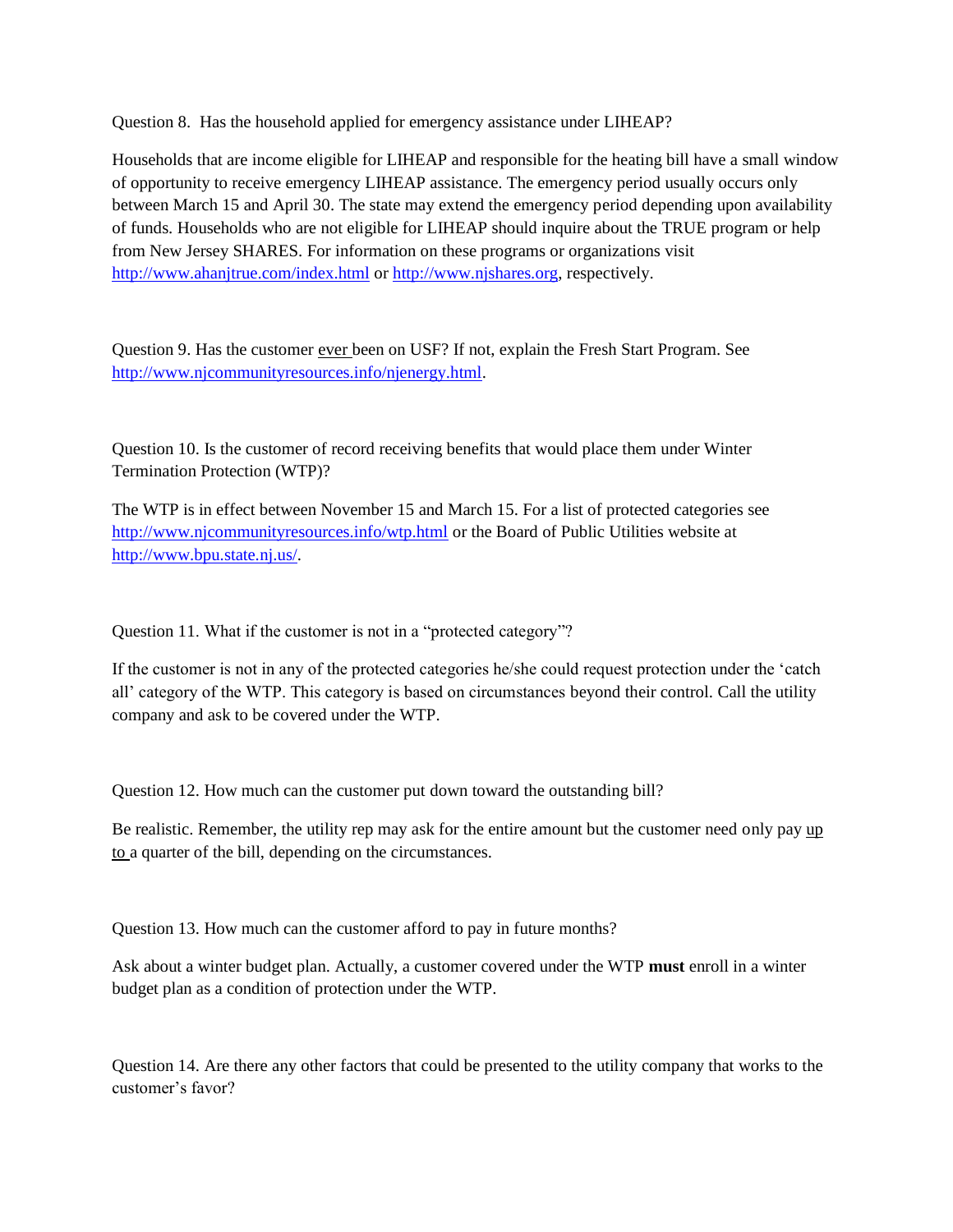Question 8. Has the household applied for emergency assistance under LIHEAP?

Households that are income eligible for LIHEAP and responsible for the heating bill have a small window of opportunity to receive emergency LIHEAP assistance. The emergency period usually occurs only between March 15 and April 30. The state may extend the emergency period depending upon availability of funds. Households who are not eligible for LIHEAP should inquire about the TRUE program or help from New Jersey SHARES. For information on these programs or organizations visit <http://www.ahanjtrue.com/index.html> or [http://www.njshares.org,](http://www.njshares.org/) respectively.

Question 9. Has the customer ever been on USF? If not, explain the Fresh Start Program. See [http://www.njcommunityresources.info/njenergy.html.](http://www.njcommunityresources.info/njenergy.html)

Question 10. Is the customer of record receiving benefits that would place them under Winter Termination Protection (WTP)?

The WTP is in effect between November 15 and March 15. For a list of protected categories see <http://www.njcommunityresources.info/wtp.html> or the Board of Public Utilities website at [http://www.bpu.state.nj.us/.](http://www.bpu.state.nj.us/)

Question 11. What if the customer is not in a "protected category"?

If the customer is not in any of the protected categories he/she could request protection under the 'catch all' category of the WTP. This category is based on circumstances beyond their control. Call the utility company and ask to be covered under the WTP.

Question 12. How much can the customer put down toward the outstanding bill?

Be realistic. Remember, the utility rep may ask for the entire amount but the customer need only pay up to a quarter of the bill, depending on the circumstances.

Question 13. How much can the customer afford to pay in future months?

Ask about a winter budget plan. Actually, a customer covered under the WTP **must** enroll in a winter budget plan as a condition of protection under the WTP.

Question 14. Are there any other factors that could be presented to the utility company that works to the customer's favor?